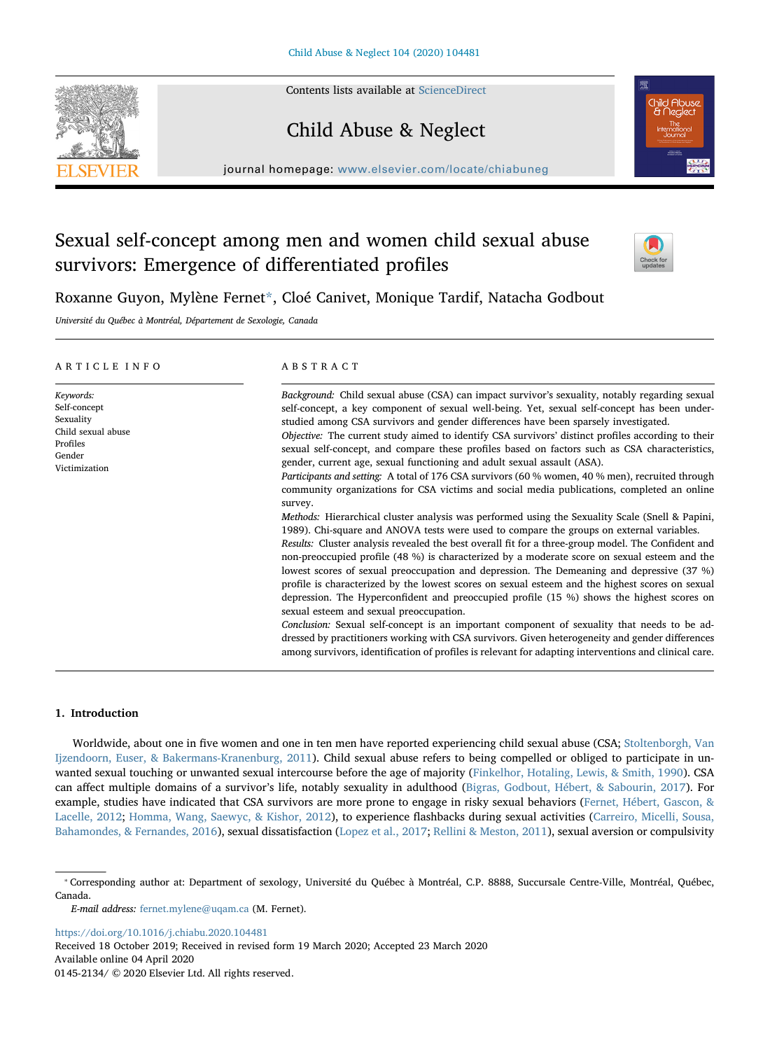Contents lists available at [ScienceDirect](http://www.sciencedirect.com/science/journal/01452134)



# Child Abuse & Neglect



journal homepage: [www.elsevier.com/locate/chiabuneg](https://www.elsevier.com/locate/chiabuneg)

## Sexual self-concept among men and women child sexual abuse survivors: Emergence of differentiated profiles



## Roxanne Guyon, Mylène Fernet[\\*](#page-0-0), Cloé Canivet, Monique Tardif, Natacha Godbout

Université du Québec à Montréal, Département de Sexologie, Canada

| ARTICLE INFO                                                                                        | ABSTRACT                                                                                                                                                                                                                                                                                                                                                                                                                                                                                                                                                                                                                                                                                                                                                                                                                                                                                                                                                                                                                                                                                                                                                                                                                                                                                                                                                                                                                                                                                                                                                                                                                                                                                                                                                                                                                                                   |  |  |  |  |
|-----------------------------------------------------------------------------------------------------|------------------------------------------------------------------------------------------------------------------------------------------------------------------------------------------------------------------------------------------------------------------------------------------------------------------------------------------------------------------------------------------------------------------------------------------------------------------------------------------------------------------------------------------------------------------------------------------------------------------------------------------------------------------------------------------------------------------------------------------------------------------------------------------------------------------------------------------------------------------------------------------------------------------------------------------------------------------------------------------------------------------------------------------------------------------------------------------------------------------------------------------------------------------------------------------------------------------------------------------------------------------------------------------------------------------------------------------------------------------------------------------------------------------------------------------------------------------------------------------------------------------------------------------------------------------------------------------------------------------------------------------------------------------------------------------------------------------------------------------------------------------------------------------------------------------------------------------------------------|--|--|--|--|
| Keywords:<br>Self-concept<br>Sexuality<br>Child sexual abuse<br>Profiles<br>Gender<br>Victimization | Background: Child sexual abuse (CSA) can impact survivor's sexuality, notably regarding sexual<br>self-concept, a key component of sexual well-being. Yet, sexual self-concept has been under-<br>studied among CSA survivors and gender differences have been sparsely investigated.<br><i>Objective:</i> The current study aimed to identify CSA survivors' distinct profiles according to their<br>sexual self-concept, and compare these profiles based on factors such as CSA characteristics,<br>gender, current age, sexual functioning and adult sexual assault (ASA).<br>Participants and setting: A total of 176 CSA survivors (60 % women, 40 % men), recruited through<br>community organizations for CSA victims and social media publications, completed an online<br>survey.<br><i>Methods:</i> Hierarchical cluster analysis was performed using the Sexuality Scale (Snell & Papini,<br>1989). Chi-square and ANOVA tests were used to compare the groups on external variables.<br>Results: Cluster analysis revealed the best overall fit for a three-group model. The Confident and<br>non-preoccupied profile (48 %) is characterized by a moderate score on sexual esteem and the<br>lowest scores of sexual preoccupation and depression. The Demeaning and depressive (37 %)<br>profile is characterized by the lowest scores on sexual esteem and the highest scores on sexual<br>depression. The Hyperconfident and preoccupied profile (15 %) shows the highest scores on<br>sexual esteem and sexual preoccupation.<br>Conclusion: Sexual self-concept is an important component of sexuality that needs to be ad-<br>dressed by practitioners working with CSA survivors. Given heterogeneity and gender differences<br>among survivors, identification of profiles is relevant for adapting interventions and clinical care. |  |  |  |  |

## 1. Introduction

Worldwide, about one in five women and one in ten men have reported experiencing child sexual abuse (CSA; [Stoltenborgh, Van](#page-10-0) [Ijzendoorn, Euser, & Bakermans-Kranenburg, 2011\)](#page-10-0). Child sexual abuse refers to being compelled or obliged to participate in unwanted sexual touching or unwanted sexual intercourse before the age of majority ([Finkelhor, Hotaling, Lewis, & Smith, 1990](#page-9-0)). CSA can affect multiple domains of a survivor's life, notably sexuality in adulthood ([Bigras, Godbout, Hébert, & Sabourin, 2017](#page-8-0)). For example, studies have indicated that CSA survivors are more prone to engage in risky sexual behaviors [\(Fernet, Hébert, Gascon, &](#page-9-1) [Lacelle, 2012](#page-9-1); [Homma, Wang, Saewyc, & Kishor, 2012](#page-9-2)), to experience flashbacks during sexual activities ([Carreiro, Micelli, Sousa,](#page-8-1) [Bahamondes, & Fernandes, 2016\)](#page-8-1), sexual dissatisfaction [\(Lopez et al., 2017](#page-9-3); [Rellini & Meston, 2011](#page-9-4)), sexual aversion or compulsivity

<https://doi.org/10.1016/j.chiabu.2020.104481>

Received 18 October 2019; Received in revised form 19 March 2020; Accepted 23 March 2020 Available online 04 April 2020 0145-2134/ © 2020 Elsevier Ltd. All rights reserved.

<span id="page-0-0"></span><sup>⁎</sup> Corresponding author at: Department of sexology, Université du Québec à Montréal, C.P. 8888, Succursale Centre-Ville, Montréal, Québec, Canada.

E-mail address: [fernet.mylene@uqam.ca](mailto:fernet.mylene@uqam.ca) (M. Fernet).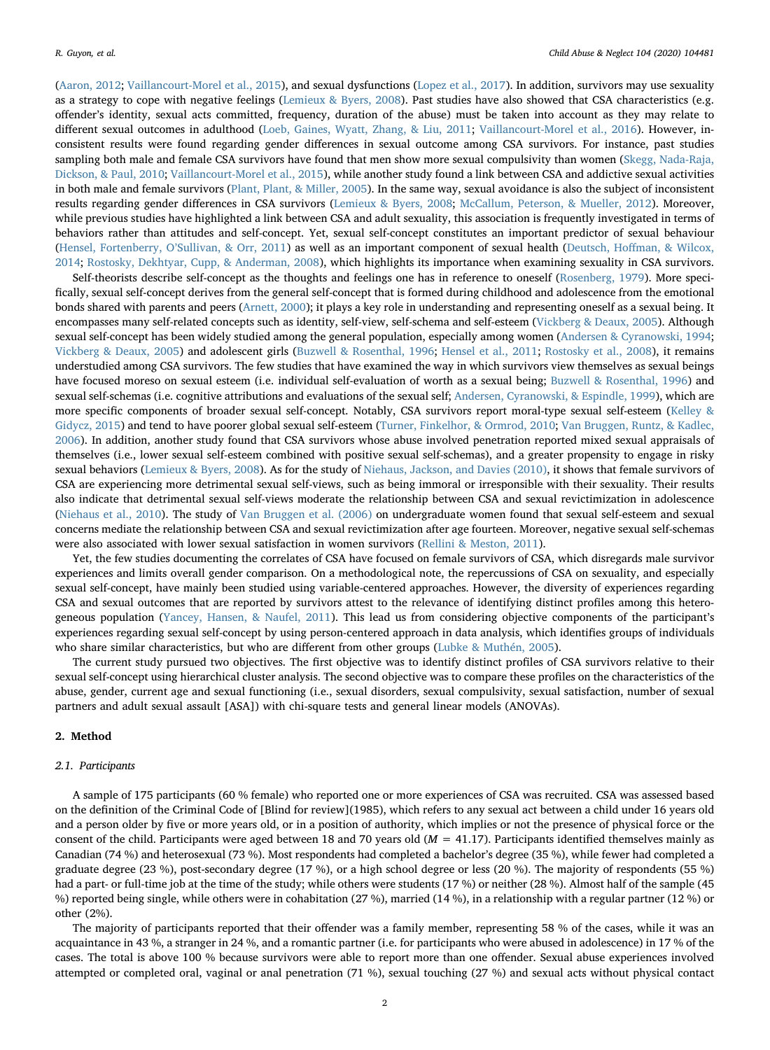([Aaron, 2012;](#page-8-2) [Vaillancourt-Morel et al., 2015\)](#page-10-1), and sexual dysfunctions [\(Lopez et al., 2017\)](#page-9-3). In addition, survivors may use sexuality as a strategy to cope with negative feelings [\(Lemieux & Byers, 2008\)](#page-9-5). Past studies have also showed that CSA characteristics (e.g. offender's identity, sexual acts committed, frequency, duration of the abuse) must be taken into account as they may relate to different sexual outcomes in adulthood ([Loeb, Gaines, Wyatt, Zhang, & Liu, 2011;](#page-9-6) [Vaillancourt-Morel et al., 2016](#page-10-2)). However, inconsistent results were found regarding gender differences in sexual outcome among CSA survivors. For instance, past studies sampling both male and female CSA survivors have found that men show more sexual compulsivity than women [\(Skegg, Nada-Raja,](#page-9-7) [Dickson, & Paul, 2010](#page-9-7); [Vaillancourt-Morel et al., 2015\)](#page-10-1), while another study found a link between CSA and addictive sexual activities in both male and female survivors ([Plant, Plant, & Miller, 2005\)](#page-9-8). In the same way, sexual avoidance is also the subject of inconsistent results regarding gender differences in CSA survivors [\(Lemieux & Byers, 2008](#page-9-5); [McCallum, Peterson, & Mueller, 2012\)](#page-9-9). Moreover, while previous studies have highlighted a link between CSA and adult sexuality, this association is frequently investigated in terms of behaviors rather than attitudes and self-concept. Yet, sexual self-concept constitutes an important predictor of sexual behaviour ([Hensel, Fortenberry, O](#page-9-10)'Sullivan, & Orr, 2011) as well as an important component of sexual health (Deutsch, Hoff[man, & Wilcox,](#page-8-3) [2014;](#page-8-3) [Rostosky, Dekhtyar, Cupp, & Anderman, 2008\)](#page-9-11), which highlights its importance when examining sexuality in CSA survivors.

Self-theorists describe self-concept as the thoughts and feelings one has in reference to oneself [\(Rosenberg, 1979\)](#page-9-12). More specifically, sexual self-concept derives from the general self-concept that is formed during childhood and adolescence from the emotional bonds shared with parents and peers ([Arnett, 2000](#page-8-4)); it plays a key role in understanding and representing oneself as a sexual being. It encompasses many self-related concepts such as identity, self-view, self-schema and self-esteem ([Vickberg & Deaux, 2005](#page-10-3)). Although sexual self-concept has been widely studied among the general population, especially among women ([Andersen & Cyranowski, 1994;](#page-8-5) [Vickberg & Deaux, 2005\)](#page-10-3) and adolescent girls [\(Buzwell & Rosenthal, 1996](#page-8-6); [Hensel et al., 2011](#page-9-10); [Rostosky et al., 2008](#page-9-11)), it remains understudied among CSA survivors. The few studies that have examined the way in which survivors view themselves as sexual beings have focused moreso on sexual esteem (i.e. individual self-evaluation of worth as a sexual being; [Buzwell & Rosenthal, 1996](#page-8-6)) and sexual self-schemas (i.e. cognitive attributions and evaluations of the sexual self; [Andersen, Cyranowski, & Espindle, 1999\)](#page-8-7), which are more specific components of broader sexual self-concept. Notably, CSA survivors report moral-type sexual self-esteem [\(Kelley &](#page-9-13) [Gidycz, 2015](#page-9-13)) and tend to have poorer global sexual self-esteem ([Turner, Finkelhor, & Ormrod, 2010;](#page-10-4) [Van Bruggen, Runtz, & Kadlec,](#page-10-5) [2006\)](#page-10-5). In addition, another study found that CSA survivors whose abuse involved penetration reported mixed sexual appraisals of themselves (i.e., lower sexual self-esteem combined with positive sexual self-schemas), and a greater propensity to engage in risky sexual behaviors ([Lemieux & Byers, 2008\)](#page-9-5). As for the study of [Niehaus, Jackson, and Davies \(2010\),](#page-9-14) it shows that female survivors of CSA are experiencing more detrimental sexual self-views, such as being immoral or irresponsible with their sexuality. Their results also indicate that detrimental sexual self-views moderate the relationship between CSA and sexual revictimization in adolescence ([Niehaus et al., 2010](#page-9-14)). The study of [Van Bruggen et al. \(2006\)](#page-10-5) on undergraduate women found that sexual self-esteem and sexual concerns mediate the relationship between CSA and sexual revictimization after age fourteen. Moreover, negative sexual self-schemas were also associated with lower sexual satisfaction in women survivors ([Rellini & Meston, 2011](#page-9-4)).

Yet, the few studies documenting the correlates of CSA have focused on female survivors of CSA, which disregards male survivor experiences and limits overall gender comparison. On a methodological note, the repercussions of CSA on sexuality, and especially sexual self-concept, have mainly been studied using variable-centered approaches. However, the diversity of experiences regarding CSA and sexual outcomes that are reported by survivors attest to the relevance of identifying distinct profiles among this heterogeneous population ([Yancey, Hansen, & Naufel, 2011](#page-10-6)). This lead us from considering objective components of the participant's experiences regarding sexual self-concept by using person-centered approach in data analysis, which identifies groups of individuals who share similar characteristics, but who are different from other groups ([Lubke & Muthén, 2005](#page-9-15)).

The current study pursued two objectives. The first objective was to identify distinct profiles of CSA survivors relative to their sexual self-concept using hierarchical cluster analysis. The second objective was to compare these profiles on the characteristics of the abuse, gender, current age and sexual functioning (i.e., sexual disorders, sexual compulsivity, sexual satisfaction, number of sexual partners and adult sexual assault [ASA]) with chi-square tests and general linear models (ANOVAs).

## 2. Method

#### 2.1. Participants

A sample of 175 participants (60 % female) who reported one or more experiences of CSA was recruited. CSA was assessed based on the definition of the Criminal Code of [Blind for review](1985), which refers to any sexual act between a child under 16 years old and a person older by five or more years old, or in a position of authority, which implies or not the presence of physical force or the consent of the child. Participants were aged between 18 and 70 years old  $(M = 41.17)$ . Participants identified themselves mainly as Canadian (74 %) and heterosexual (73 %). Most respondents had completed a bachelor's degree (35 %), while fewer had completed a graduate degree (23 %), post-secondary degree (17 %), or a high school degree or less (20 %). The majority of respondents (55 %) had a part- or full-time job at the time of the study; while others were students (17 %) or neither (28 %). Almost half of the sample (45 %) reported being single, while others were in cohabitation (27 %), married (14 %), in a relationship with a regular partner (12 %) or other (2%).

The majority of participants reported that their offender was a family member, representing 58 % of the cases, while it was an acquaintance in 43 %, a stranger in 24 %, and a romantic partner (i.e. for participants who were abused in adolescence) in 17 % of the cases. The total is above 100 % because survivors were able to report more than one offender. Sexual abuse experiences involved attempted or completed oral, vaginal or anal penetration (71 %), sexual touching (27 %) and sexual acts without physical contact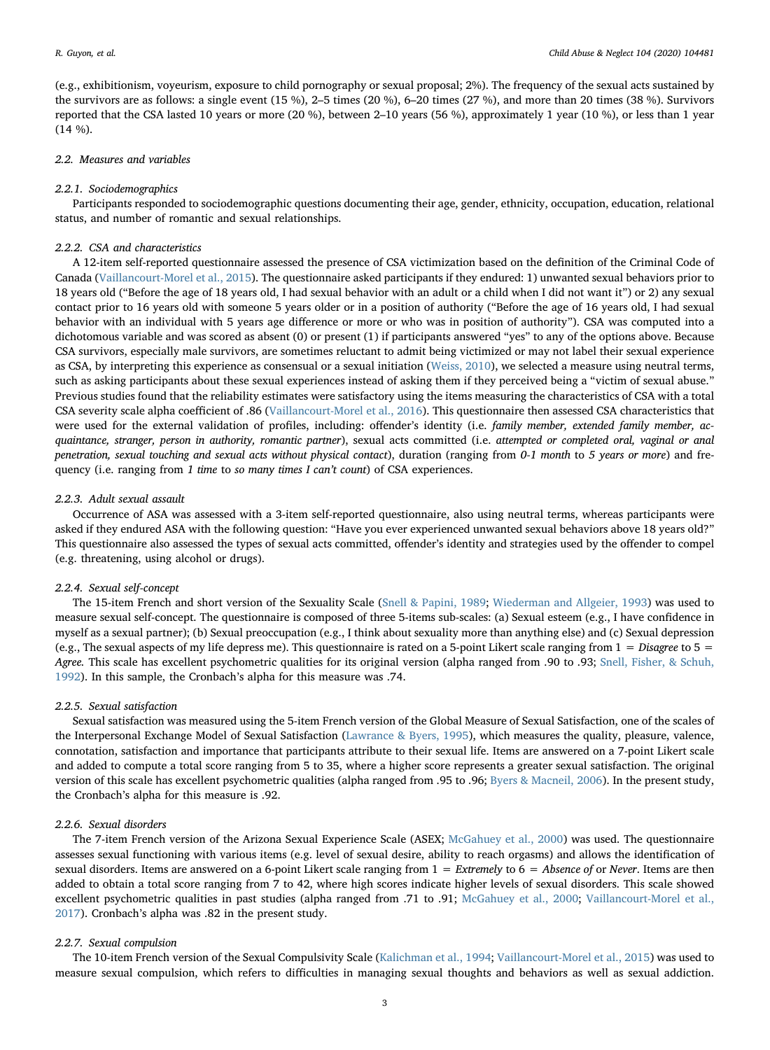(e.g., exhibitionism, voyeurism, exposure to child pornography or sexual proposal; 2%). The frequency of the sexual acts sustained by the survivors are as follows: a single event (15 %), 2–5 times (20 %), 6–20 times (27 %), and more than 20 times (38 %). Survivors reported that the CSA lasted 10 years or more (20 %), between 2–10 years (56 %), approximately 1 year (10 %), or less than 1 year (14 %).

#### 2.2. Measures and variables

#### 2.2.1. Sociodemographics

Participants responded to sociodemographic questions documenting their age, gender, ethnicity, occupation, education, relational status, and number of romantic and sexual relationships.

#### 2.2.2. CSA and characteristics

A 12-item self-reported questionnaire assessed the presence of CSA victimization based on the definition of the Criminal Code of Canada ([Vaillancourt-Morel et al., 2015\)](#page-10-1). The questionnaire asked participants if they endured: 1) unwanted sexual behaviors prior to 18 years old ("Before the age of 18 years old, I had sexual behavior with an adult or a child when I did not want it") or 2) any sexual contact prior to 16 years old with someone 5 years older or in a position of authority ("Before the age of 16 years old, I had sexual behavior with an individual with 5 years age difference or more or who was in position of authority"). CSA was computed into a dichotomous variable and was scored as absent (0) or present (1) if participants answered "yes" to any of the options above. Because CSA survivors, especially male survivors, are sometimes reluctant to admit being victimized or may not label their sexual experience as CSA, by interpreting this experience as consensual or a sexual initiation ([Weiss, 2010](#page-10-7)), we selected a measure using neutral terms, such as asking participants about these sexual experiences instead of asking them if they perceived being a "victim of sexual abuse." Previous studies found that the reliability estimates were satisfactory using the items measuring the characteristics of CSA with a total CSA severity scale alpha coefficient of .86 [\(Vaillancourt-Morel et al., 2016\)](#page-10-2). This questionnaire then assessed CSA characteristics that were used for the external validation of profiles, including: offender's identity (i.e. family member, extended family member, acquaintance, stranger, person in authority, romantic partner), sexual acts committed (i.e. attempted or completed oral, vaginal or anal penetration, sexual touching and sexual acts without physical contact), duration (ranging from 0-1 month to 5 years or more) and frequency (i.e. ranging from 1 time to so many times I can't count) of CSA experiences.

#### 2.2.3. Adult sexual assault

Occurrence of ASA was assessed with a 3-item self-reported questionnaire, also using neutral terms, whereas participants were asked if they endured ASA with the following question: "Have you ever experienced unwanted sexual behaviors above 18 years old?" This questionnaire also assessed the types of sexual acts committed, offender's identity and strategies used by the offender to compel (e.g. threatening, using alcohol or drugs).

## 2.2.4. Sexual self-concept

The 15-item French and short version of the Sexuality Scale [\(Snell & Papini, 1989;](#page-9-16) [Wiederman and Allgeier, 1993\)](#page-10-8) was used to measure sexual self-concept. The questionnaire is composed of three 5-items sub-scales: (a) Sexual esteem (e.g., I have confidence in myself as a sexual partner); (b) Sexual preoccupation (e.g., I think about sexuality more than anything else) and (c) Sexual depression (e.g., The sexual aspects of my life depress me). This questionnaire is rated on a 5-point Likert scale ranging from  $1 = Disagree$  to  $5 =$ Agree. This scale has excellent psychometric qualities for its original version (alpha ranged from .90 to .93; [Snell, Fisher, & Schuh,](#page-9-17) [1992\)](#page-9-17). In this sample, the Cronbach's alpha for this measure was .74.

#### 2.2.5. Sexual satisfaction

Sexual satisfaction was measured using the 5-item French version of the Global Measure of Sexual Satisfaction, one of the scales of the Interpersonal Exchange Model of Sexual Satisfaction ([Lawrance & Byers, 1995](#page-9-18)), which measures the quality, pleasure, valence, connotation, satisfaction and importance that participants attribute to their sexual life. Items are answered on a 7-point Likert scale and added to compute a total score ranging from 5 to 35, where a higher score represents a greater sexual satisfaction. The original version of this scale has excellent psychometric qualities (alpha ranged from .95 to .96; [Byers & Macneil, 2006](#page-8-8)). In the present study, the Cronbach's alpha for this measure is .92.

### 2.2.6. Sexual disorders

The 7-item French version of the Arizona Sexual Experience Scale (ASEX; [McGahuey et al., 2000](#page-9-19)) was used. The questionnaire assesses sexual functioning with various items (e.g. level of sexual desire, ability to reach orgasms) and allows the identification of sexual disorders. Items are answered on a 6-point Likert scale ranging from  $1 =$  Extremely to  $6 =$  Absence of or Never. Items are then added to obtain a total score ranging from 7 to 42, where high scores indicate higher levels of sexual disorders. This scale showed excellent psychometric qualities in past studies (alpha ranged from .71 to .91; [McGahuey et al., 2000](#page-9-19); [Vaillancourt-Morel et al.,](#page-10-9) [2017\)](#page-10-9). Cronbach's alpha was .82 in the present study.

#### 2.2.7. Sexual compulsion

The 10-item French version of the Sexual Compulsivity Scale ([Kalichman et al., 1994](#page-9-20); [Vaillancourt-Morel et al., 2015\)](#page-10-1) was used to measure sexual compulsion, which refers to difficulties in managing sexual thoughts and behaviors as well as sexual addiction.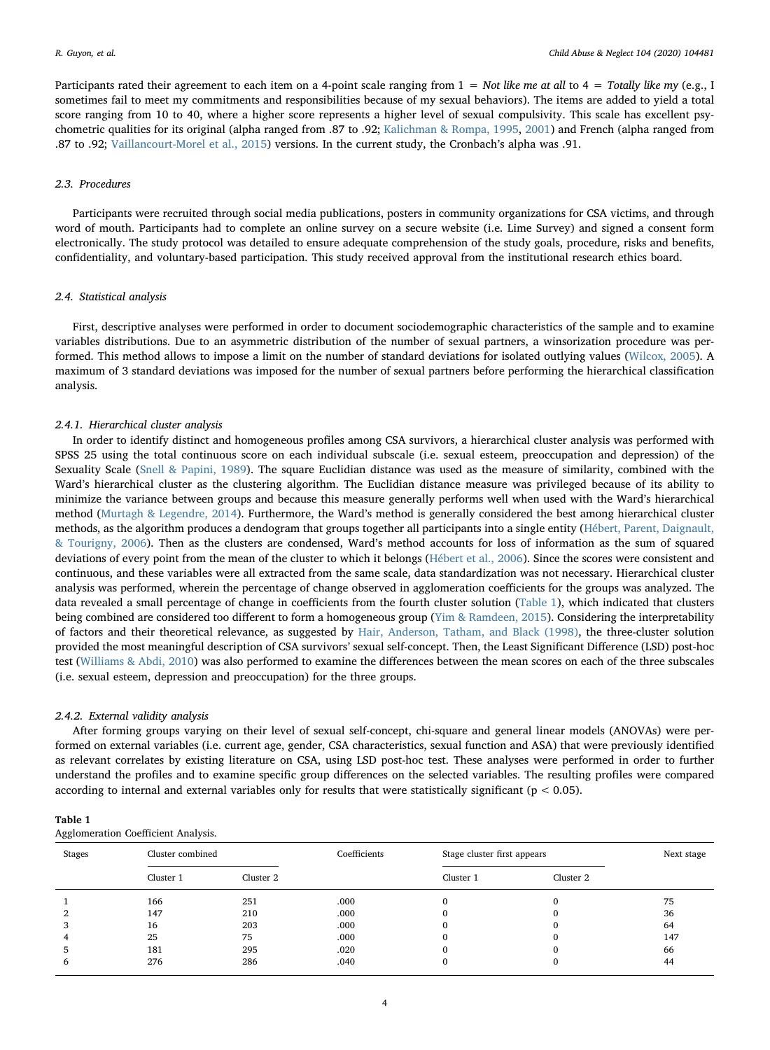Participants rated their agreement to each item on a 4-point scale ranging from  $1 = Not$  like me at all to  $4 = Totally$  like my (e.g., I sometimes fail to meet my commitments and responsibilities because of my sexual behaviors). The items are added to yield a total score ranging from 10 to 40, where a higher score represents a higher level of sexual compulsivity. This scale has excellent psychometric qualities for its original (alpha ranged from .87 to .92; [Kalichman & Rompa, 1995,](#page-9-21) [2001](#page-9-22)) and French (alpha ranged from .87 to .92; [Vaillancourt-Morel et al., 2015\)](#page-10-1) versions. In the current study, the Cronbach's alpha was .91.

#### 2.3. Procedures

Participants were recruited through social media publications, posters in community organizations for CSA victims, and through word of mouth. Participants had to complete an online survey on a secure website (i.e. Lime Survey) and signed a consent form electronically. The study protocol was detailed to ensure adequate comprehension of the study goals, procedure, risks and benefits, confidentiality, and voluntary-based participation. This study received approval from the institutional research ethics board.

## 2.4. Statistical analysis

First, descriptive analyses were performed in order to document sociodemographic characteristics of the sample and to examine variables distributions. Due to an asymmetric distribution of the number of sexual partners, a winsorization procedure was performed. This method allows to impose a limit on the number of standard deviations for isolated outlying values ([Wilcox, 2005\)](#page-10-10). A maximum of 3 standard deviations was imposed for the number of sexual partners before performing the hierarchical classification analysis.

#### 2.4.1. Hierarchical cluster analysis

In order to identify distinct and homogeneous profiles among CSA survivors, a hierarchical cluster analysis was performed with SPSS 25 using the total continuous score on each individual subscale (i.e. sexual esteem, preoccupation and depression) of the Sexuality Scale [\(Snell & Papini, 1989](#page-9-16)). The square Euclidian distance was used as the measure of similarity, combined with the Ward's hierarchical cluster as the clustering algorithm. The Euclidian distance measure was privileged because of its ability to minimize the variance between groups and because this measure generally performs well when used with the Ward's hierarchical method [\(Murtagh & Legendre, 2014\)](#page-9-23). Furthermore, the Ward's method is generally considered the best among hierarchical cluster methods, as the algorithm produces a dendogram that groups together all participants into a single entity [\(Hébert, Parent, Daignault,](#page-9-24) [& Tourigny, 2006\)](#page-9-24). Then as the clusters are condensed, Ward's method accounts for loss of information as the sum of squared deviations of every point from the mean of the cluster to which it belongs ([Hébert et al., 2006\)](#page-9-24). Since the scores were consistent and continuous, and these variables were all extracted from the same scale, data standardization was not necessary. Hierarchical cluster analysis was performed, wherein the percentage of change observed in agglomeration coefficients for the groups was analyzed. The data revealed a small percentage of change in coefficients from the fourth cluster solution [\(Table 1](#page-3-0)), which indicated that clusters being combined are considered too different to form a homogeneous group ([Yim & Ramdeen, 2015\)](#page-10-11). Considering the interpretability of factors and their theoretical relevance, as suggested by [Hair, Anderson, Tatham, and Black \(1998\)](#page-9-25), the three-cluster solution provided the most meaningful description of CSA survivors' sexual self-concept. Then, the Least Significant Difference (LSD) post-hoc test ([Williams & Abdi, 2010](#page-10-12)) was also performed to examine the differences between the mean scores on each of the three subscales (i.e. sexual esteem, depression and preoccupation) for the three groups.

#### 2.4.2. External validity analysis

After forming groups varying on their level of sexual self-concept, chi-square and general linear models (ANOVAs) were performed on external variables (i.e. current age, gender, CSA characteristics, sexual function and ASA) that were previously identified as relevant correlates by existing literature on CSA, using LSD post-hoc test. These analyses were performed in order to further understand the profiles and to examine specific group differences on the selected variables. The resulting profiles were compared according to internal and external variables only for results that were statistically significant ( $p < 0.05$ ).

| <i>Exploiteration</i> coefficient <i>ruling</i> of the |                  |           |              |                             |           |            |  |  |
|--------------------------------------------------------|------------------|-----------|--------------|-----------------------------|-----------|------------|--|--|
| <b>Stages</b>                                          | Cluster combined |           | Coefficients | Stage cluster first appears |           | Next stage |  |  |
|                                                        | Cluster 1        | Cluster 2 |              | Cluster 1                   | Cluster 2 |            |  |  |
|                                                        | 166              | 251       | .000         |                             |           | 75         |  |  |
|                                                        | 147              | 210       | .000         |                             |           | 36         |  |  |
|                                                        | 16               | 203       | .000         |                             |           | 64         |  |  |
|                                                        | 25               | 75        | .000         |                             |           | 147        |  |  |
|                                                        | 181              | 295       | .020         |                             |           | 66         |  |  |
|                                                        | 276              | 286       | .040         |                             |           | 44         |  |  |
|                                                        |                  |           |              |                             |           |            |  |  |

#### <span id="page-3-0"></span>Table 1 Agglomeration Coefficient Analysis.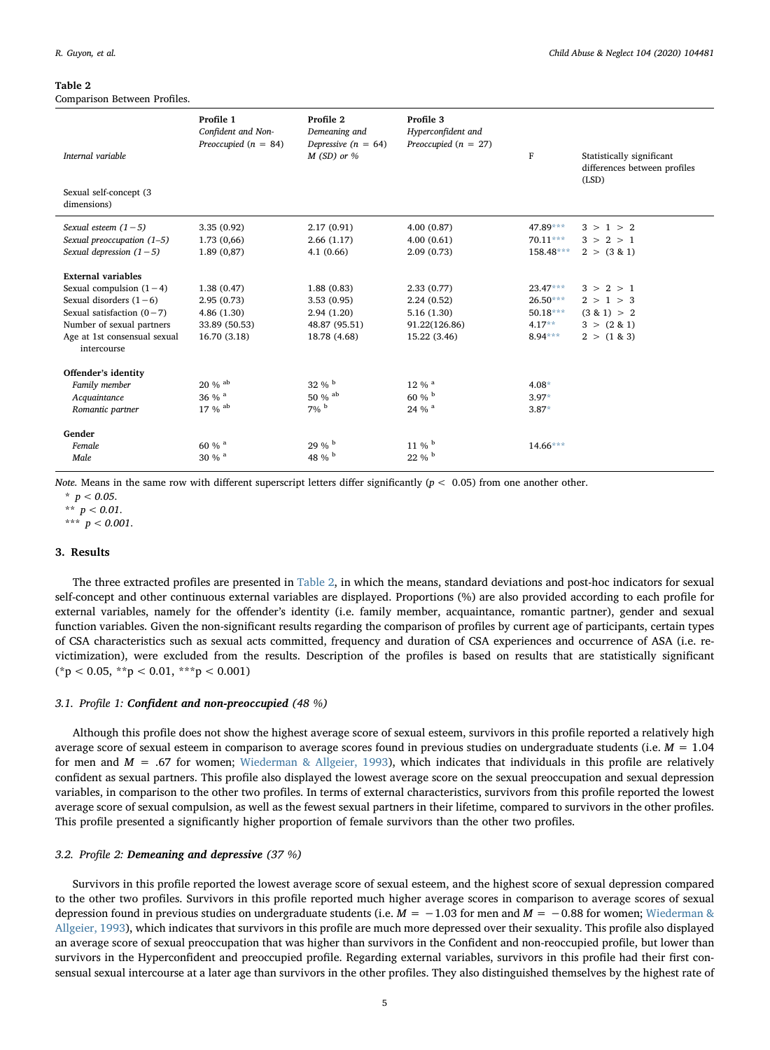#### <span id="page-4-0"></span>Table 2

Comparison Between Profiles.

| Internal variable<br>Sexual self-concept (3 | Profile 1<br>Confident and Non-<br>Preoccupied $(n = 84)$ | Profile 2<br>Demeaning and<br>Depressive $(n = 64)$<br>$M(SD)$ or % | Profile 3<br>Hyperconfident and<br>Preoccupied $(n = 27)$ | F          | Statistically significant<br>differences between profiles<br>(LSD) |
|---------------------------------------------|-----------------------------------------------------------|---------------------------------------------------------------------|-----------------------------------------------------------|------------|--------------------------------------------------------------------|
| dimensions)                                 |                                                           |                                                                     |                                                           |            |                                                                    |
| Sexual esteem $(1-5)$                       | 3.35(0.92)                                                | 2.17(0.91)                                                          | 4.00(0.87)                                                | 47.89***   | 3 > 1 > 2                                                          |
| Sexual preoccupation $(1-5)$                | 1.73(0.66)                                                | 2.66(1.17)                                                          | 4.00(0.61)                                                | $70.11***$ | 3 > 2 > 1                                                          |
| Sexual depression $(1-5)$                   | 1.89(0.87)                                                | 4.1(0.66)                                                           | 2.09(0.73)                                                | 158.48***  | $2 > (3 \& 1)$                                                     |
| <b>External variables</b>                   |                                                           |                                                                     |                                                           |            |                                                                    |
| Sexual compulsion $(1-4)$                   | 1.38(0.47)                                                | 1.88(0.83)                                                          | 2.33(0.77)                                                | $23.47***$ | 3 > 2 > 1                                                          |
| Sexual disorders $(1-6)$                    | 2.95(0.73)                                                | 3.53(0.95)                                                          | 2.24(0.52)                                                | $26.50***$ | 2 > 1 > 3                                                          |
| Sexual satisfaction $(0 - 7)$               | 4.86(1.30)                                                | 2.94(1.20)                                                          | 5.16(1.30)                                                | $50.18***$ | (3 & 1) > 2                                                        |
| Number of sexual partners                   | 33.89 (50.53)                                             | 48.87 (95.51)                                                       | 91.22(126.86)                                             | $4.17**$   | $3 > (2 \& 1)$                                                     |
| Age at 1st consensual sexual<br>intercourse | 16.70 (3.18)                                              | 18.78 (4.68)                                                        | 15.22 (3.46)                                              | $8.94***$  | $2 > (1 \& 3)$                                                     |
| Offender's identity                         |                                                           |                                                                     |                                                           |            |                                                                    |
| Family member                               | 20 % ab                                                   | $32 \%$                                                             | $12 \%$ <sup>a</sup>                                      | $4.08*$    |                                                                    |
| Acquaintance                                | 36 % $a$                                                  | 50 % ab                                                             | 60 % b                                                    | $3.97*$    |                                                                    |
| Romantic partner                            | 17 % ab                                                   | $7\%$ <sup>b</sup>                                                  | 24 % a                                                    | $3.87*$    |                                                                    |
| Gender                                      |                                                           |                                                                     |                                                           |            |                                                                    |
| Female                                      | 60 % a                                                    | $29 \%$ <sup>b</sup>                                                | $11\%$ <sup>b</sup>                                       | $14.66***$ |                                                                    |
| Male                                        | 30 % a                                                    | 48 % $b$                                                            | $22 \%$                                                   |            |                                                                    |

Note. Means in the same row with different superscript letters differ significantly  $(p < 0.05)$  from one another other.

<span id="page-4-3"></span> $*$  p < 0.05.

<span id="page-4-2"></span>\*\*  $p < 0.01$ .

<span id="page-4-1"></span>\*\*\*  $p < 0.001$ .

## 3. Results

The three extracted profiles are presented in [Table 2,](#page-4-0) in which the means, standard deviations and post-hoc indicators for sexual self-concept and other continuous external variables are displayed. Proportions (%) are also provided according to each profile for external variables, namely for the offender's identity (i.e. family member, acquaintance, romantic partner), gender and sexual function variables. Given the non-significant results regarding the comparison of profiles by current age of participants, certain types of CSA characteristics such as sexual acts committed, frequency and duration of CSA experiences and occurrence of ASA (i.e. revictimization), were excluded from the results. Description of the profiles is based on results that are statistically significant  $(*p < 0.05, **p < 0.01, **p < 0.001)$ 

## 3.1. Profile 1: Confident and non-preoccupied (48 %)

Although this profile does not show the highest average score of sexual esteem, survivors in this profile reported a relatively high average score of sexual esteem in comparison to average scores found in previous studies on undergraduate students (i.e.  $M = 1.04$ for men and  $M = .67$  for women; [Wiederman & Allgeier, 1993\)](#page-10-8), which indicates that individuals in this profile are relatively confident as sexual partners. This profile also displayed the lowest average score on the sexual preoccupation and sexual depression variables, in comparison to the other two profiles. In terms of external characteristics, survivors from this profile reported the lowest average score of sexual compulsion, as well as the fewest sexual partners in their lifetime, compared to survivors in the other profiles. This profile presented a significantly higher proportion of female survivors than the other two profiles.

## 3.2. Profile 2: Demeaning and depressive (37 %)

Survivors in this profile reported the lowest average score of sexual esteem, and the highest score of sexual depression compared to the other two profiles. Survivors in this profile reported much higher average scores in comparison to average scores of sexual depression found in previous studies on undergraduate students (i.e.  $M = -1.03$  for men and  $M = -0.88$  for women; [Wiederman &](#page-10-8) [Allgeier, 1993\)](#page-10-8), which indicates that survivors in this profile are much more depressed over their sexuality. This profile also displayed an average score of sexual preoccupation that was higher than survivors in the Confident and non-reoccupied profile, but lower than survivors in the Hyperconfident and preoccupied profile. Regarding external variables, survivors in this profile had their first consensual sexual intercourse at a later age than survivors in the other profiles. They also distinguished themselves by the highest rate of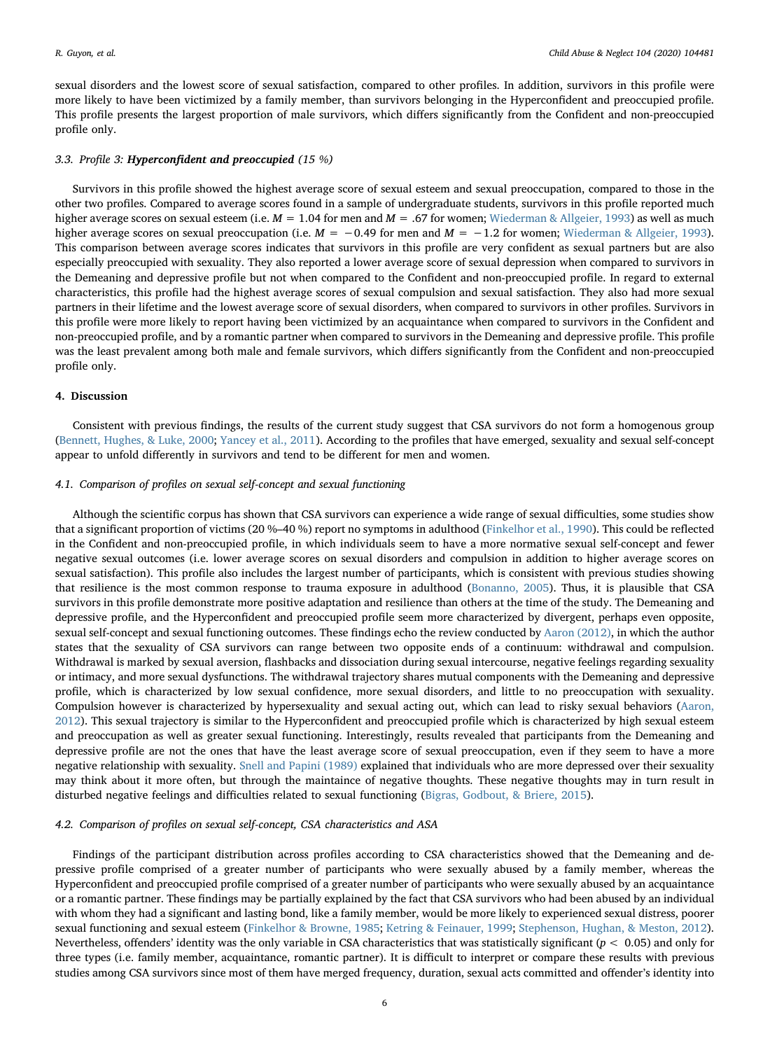sexual disorders and the lowest score of sexual satisfaction, compared to other profiles. In addition, survivors in this profile were more likely to have been victimized by a family member, than survivors belonging in the Hyperconfident and preoccupied profile. This profile presents the largest proportion of male survivors, which differs significantly from the Confident and non-preoccupied profile only.

#### 3.3. Profile 3: Hyperconfident and preoccupied (15 %)

Survivors in this profile showed the highest average score of sexual esteem and sexual preoccupation, compared to those in the other two profiles. Compared to average scores found in a sample of undergraduate students, survivors in this profile reported much higher average scores on sexual esteem (i.e.  $M = 1.04$  for men and  $M = .67$  for women; [Wiederman & Allgeier, 1993\)](#page-10-8) as well as much higher average scores on sexual preoccupation (i.e.  $M = -0.49$  for men and  $M = -1.2$  for women; [Wiederman & Allgeier, 1993](#page-10-8)). This comparison between average scores indicates that survivors in this profile are very confident as sexual partners but are also especially preoccupied with sexuality. They also reported a lower average score of sexual depression when compared to survivors in the Demeaning and depressive profile but not when compared to the Confident and non-preoccupied profile. In regard to external characteristics, this profile had the highest average scores of sexual compulsion and sexual satisfaction. They also had more sexual partners in their lifetime and the lowest average score of sexual disorders, when compared to survivors in other profiles. Survivors in this profile were more likely to report having been victimized by an acquaintance when compared to survivors in the Confident and non-preoccupied profile, and by a romantic partner when compared to survivors in the Demeaning and depressive profile. This profile was the least prevalent among both male and female survivors, which differs significantly from the Confident and non-preoccupied profile only.

## 4. Discussion

Consistent with previous findings, the results of the current study suggest that CSA survivors do not form a homogenous group [\(Bennett, Hughes, & Luke, 2000](#page-8-9); Yancey [et al., 2011](#page-10-6)). According to the profiles that have emerged, sexuality and sexual self-concept appear to unfold differently in survivors and tend to be different for men and women.

### 4.1. Comparison of profiles on sexual self-concept and sexual functioning

Although the scientific corpus has shown that CSA survivors can experience a wide range of sexual difficulties, some studies show that a significant proportion of victims (20 %–40 %) report no symptoms in adulthood [\(Finkelhor et al., 1990\)](#page-9-0). This could be reflected in the Confident and non-preoccupied profile, in which individuals seem to have a more normative sexual self-concept and fewer negative sexual outcomes (i.e. lower average scores on sexual disorders and compulsion in addition to higher average scores on sexual satisfaction). This profile also includes the largest number of participants, which is consistent with previous studies showing that resilience is the most common response to trauma exposure in adulthood ([Bonanno, 2005](#page-8-10)). Thus, it is plausible that CSA survivors in this profile demonstrate more positive adaptation and resilience than others at the time of the study. The Demeaning and depressive profile, and the Hyperconfident and preoccupied profile seem more characterized by divergent, perhaps even opposite, sexual self-concept and sexual functioning outcomes. These findings echo the review conducted by [Aaron \(2012\)](#page-8-2), in which the author states that the sexuality of CSA survivors can range between two opposite ends of a continuum: withdrawal and compulsion. Withdrawal is marked by sexual aversion, flashbacks and dissociation during sexual intercourse, negative feelings regarding sexuality or intimacy, and more sexual dysfunctions. The withdrawal trajectory shares mutual components with the Demeaning and depressive profile, which is characterized by low sexual confidence, more sexual disorders, and little to no preoccupation with sexuality. Compulsion however is characterized by hypersexuality and sexual acting out, which can lead to risky sexual behaviors ([Aaron,](#page-8-2) [2012\)](#page-8-2). This sexual trajectory is similar to the Hyperconfident and preoccupied profile which is characterized by high sexual esteem and preoccupation as well as greater sexual functioning. Interestingly, results revealed that participants from the Demeaning and depressive profile are not the ones that have the least average score of sexual preoccupation, even if they seem to have a more negative relationship with sexuality. [Snell and Papini \(1989\)](#page-9-16) explained that individuals who are more depressed over their sexuality may think about it more often, but through the maintaince of negative thoughts. These negative thoughts may in turn result in disturbed negative feelings and difficulties related to sexual functioning ([Bigras, Godbout, & Briere, 2015\)](#page-8-11).

#### 4.2. Comparison of profiles on sexual self-concept, CSA characteristics and ASA

Findings of the participant distribution across profiles according to CSA characteristics showed that the Demeaning and depressive profile comprised of a greater number of participants who were sexually abused by a family member, whereas the Hyperconfident and preoccupied profile comprised of a greater number of participants who were sexually abused by an acquaintance or a romantic partner. These findings may be partially explained by the fact that CSA survivors who had been abused by an individual with whom they had a significant and lasting bond, like a family member, would be more likely to experienced sexual distress, poorer sexual functioning and sexual esteem [\(Finkelhor & Browne, 1985;](#page-9-26) [Ketring & Feinauer, 1999;](#page-9-27) [Stephenson, Hughan, & Meston, 2012\)](#page-9-28). Nevertheless, offenders' identity was the only variable in CSA characteristics that was statistically significant ( $p < 0.05$ ) and only for three types (i.e. family member, acquaintance, romantic partner). It is difficult to interpret or compare these results with previous studies among CSA survivors since most of them have merged frequency, duration, sexual acts committed and offender's identity into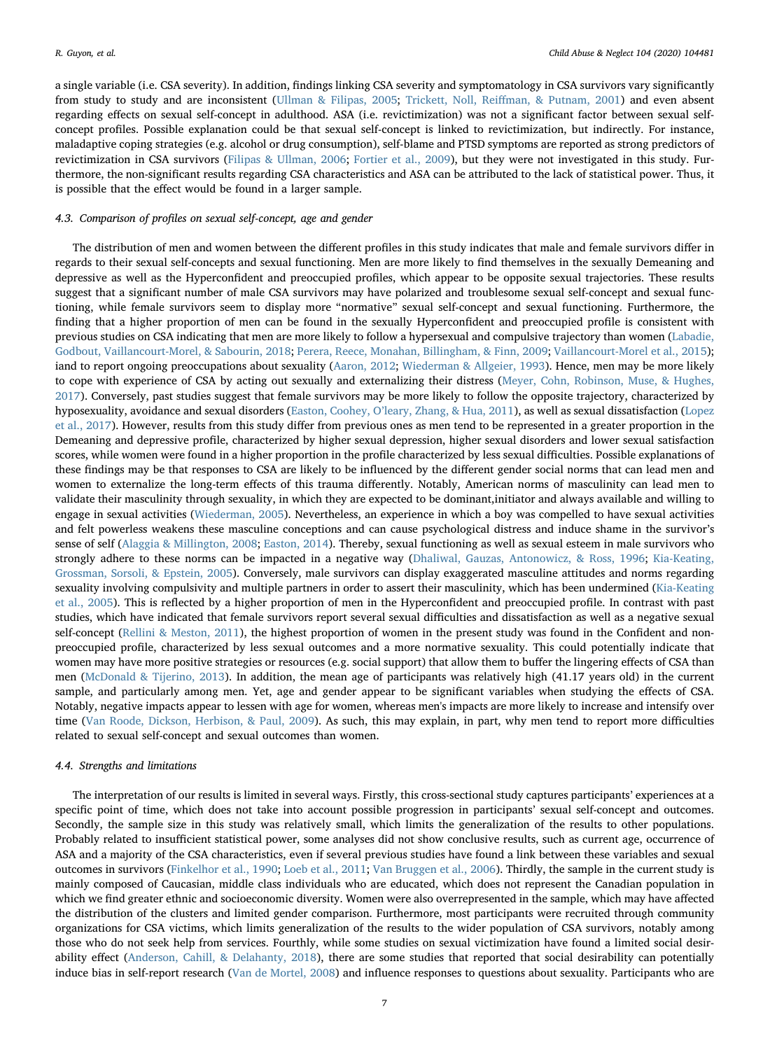a single variable (i.e. CSA severity). In addition, findings linking CSA severity and symptomatology in CSA survivors vary significantly from study to study and are inconsistent ([Ullman & Filipas, 2005](#page-10-13); Trickett, Noll, Reiff[man, & Putnam, 2001](#page-10-14)) and even absent regarding effects on sexual self-concept in adulthood. ASA (i.e. revictimization) was not a significant factor between sexual selfconcept profiles. Possible explanation could be that sexual self-concept is linked to revictimization, but indirectly. For instance, maladaptive coping strategies (e.g. alcohol or drug consumption), self-blame and PTSD symptoms are reported as strong predictors of revictimization in CSA survivors [\(Filipas & Ullman, 2006;](#page-9-29) [Fortier et al., 2009\)](#page-9-30), but they were not investigated in this study. Furthermore, the non-significant results regarding CSA characteristics and ASA can be attributed to the lack of statistical power. Thus, it is possible that the effect would be found in a larger sample.

#### 4.3. Comparison of profiles on sexual self-concept, age and gender

The distribution of men and women between the different profiles in this study indicates that male and female survivors differ in regards to their sexual self-concepts and sexual functioning. Men are more likely to find themselves in the sexually Demeaning and depressive as well as the Hyperconfident and preoccupied profiles, which appear to be opposite sexual trajectories. These results suggest that a significant number of male CSA survivors may have polarized and troublesome sexual self-concept and sexual functioning, while female survivors seem to display more "normative" sexual self-concept and sexual functioning. Furthermore, the finding that a higher proportion of men can be found in the sexually Hyperconfident and preoccupied profile is consistent with previous studies on CSA indicating that men are more likely to follow a hypersexual and compulsive trajectory than women [\(Labadie,](#page-9-31) [Godbout, Vaillancourt-Morel, & Sabourin, 2018;](#page-9-31) [Perera, Reece, Monahan, Billingham, & Finn, 2009;](#page-9-32) [Vaillancourt-Morel et al., 2015](#page-10-1)); iand to report ongoing preoccupations about sexuality ([Aaron, 2012;](#page-8-2) [Wiederman & Allgeier, 1993\)](#page-10-8). Hence, men may be more likely to cope with experience of CSA by acting out sexually and externalizing their distress [\(Meyer, Cohn, Robinson, Muse, & Hughes,](#page-9-33) [2017\)](#page-9-33). Conversely, past studies suggest that female survivors may be more likely to follow the opposite trajectory, characterized by hyposexuality, avoidance and sexual disorders (Easton, Coohey, O'[leary, Zhang, & Hua, 2011\)](#page-8-12), as well as sexual dissatisfaction ([Lopez](#page-9-3) [et al., 2017\)](#page-9-3). However, results from this study differ from previous ones as men tend to be represented in a greater proportion in the Demeaning and depressive profile, characterized by higher sexual depression, higher sexual disorders and lower sexual satisfaction scores, while women were found in a higher proportion in the profile characterized by less sexual difficulties. Possible explanations of these findings may be that responses to CSA are likely to be influenced by the different gender social norms that can lead men and women to externalize the long-term effects of this trauma differently. Notably, American norms of masculinity can lead men to validate their masculinity through sexuality, in which they are expected to be dominant,initiator and always available and willing to engage in sexual activities ([Wiederman, 2005\)](#page-10-15). Nevertheless, an experience in which a boy was compelled to have sexual activities and felt powerless weakens these masculine conceptions and can cause psychological distress and induce shame in the survivor's sense of self [\(Alaggia & Millington, 2008](#page-8-13); [Easton, 2014](#page-8-14)). Thereby, sexual functioning as well as sexual esteem in male survivors who strongly adhere to these norms can be impacted in a negative way [\(Dhaliwal, Gauzas, Antonowicz, & Ross, 1996](#page-8-15); [Kia-Keating,](#page-9-34) [Grossman, Sorsoli, & Epstein, 2005](#page-9-34)). Conversely, male survivors can display exaggerated masculine attitudes and norms regarding sexuality involving compulsivity and multiple partners in order to assert their masculinity, which has been undermined [\(Kia-Keating](#page-9-34) [et al., 2005\)](#page-9-34). This is reflected by a higher proportion of men in the Hyperconfident and preoccupied profile. In contrast with past studies, which have indicated that female survivors report several sexual difficulties and dissatisfaction as well as a negative sexual self-concept ([Rellini & Meston, 2011\)](#page-9-4), the highest proportion of women in the present study was found in the Confident and nonpreoccupied profile, characterized by less sexual outcomes and a more normative sexuality. This could potentially indicate that women may have more positive strategies or resources (e.g. social support) that allow them to buffer the lingering effects of CSA than men [\(McDonald & Tijerino, 2013\)](#page-9-35). In addition, the mean age of participants was relatively high (41.17 years old) in the current sample, and particularly among men. Yet, age and gender appear to be significant variables when studying the effects of CSA. Notably, negative impacts appear to lessen with age for women, whereas men's impacts are more likely to increase and intensify over time ([Van Roode, Dickson, Herbison, & Paul, 2009](#page-10-16)). As such, this may explain, in part, why men tend to report more difficulties related to sexual self-concept and sexual outcomes than women.

#### 4.4. Strengths and limitations

The interpretation of our results is limited in several ways. Firstly, this cross-sectional study captures participants' experiences at a specific point of time, which does not take into account possible progression in participants' sexual self-concept and outcomes. Secondly, the sample size in this study was relatively small, which limits the generalization of the results to other populations. Probably related to insufficient statistical power, some analyses did not show conclusive results, such as current age, occurrence of ASA and a majority of the CSA characteristics, even if several previous studies have found a link between these variables and sexual outcomes in survivors ([Finkelhor et al., 1990](#page-9-0); [Loeb et al., 2011](#page-9-6); [Van Bruggen et al., 2006\)](#page-10-5). Thirdly, the sample in the current study is mainly composed of Caucasian, middle class individuals who are educated, which does not represent the Canadian population in which we find greater ethnic and socioeconomic diversity. Women were also overrepresented in the sample, which may have affected the distribution of the clusters and limited gender comparison. Furthermore, most participants were recruited through community organizations for CSA victims, which limits generalization of the results to the wider population of CSA survivors, notably among those who do not seek help from services. Fourthly, while some studies on sexual victimization have found a limited social desirability effect (Anderson, [Cahill, & Delahanty, 2018\)](#page-8-16), there are some studies that reported that social desirability can potentially induce bias in self-report research [\(Van de Mortel, 2008](#page-10-17)) and influence responses to questions about sexuality. Participants who are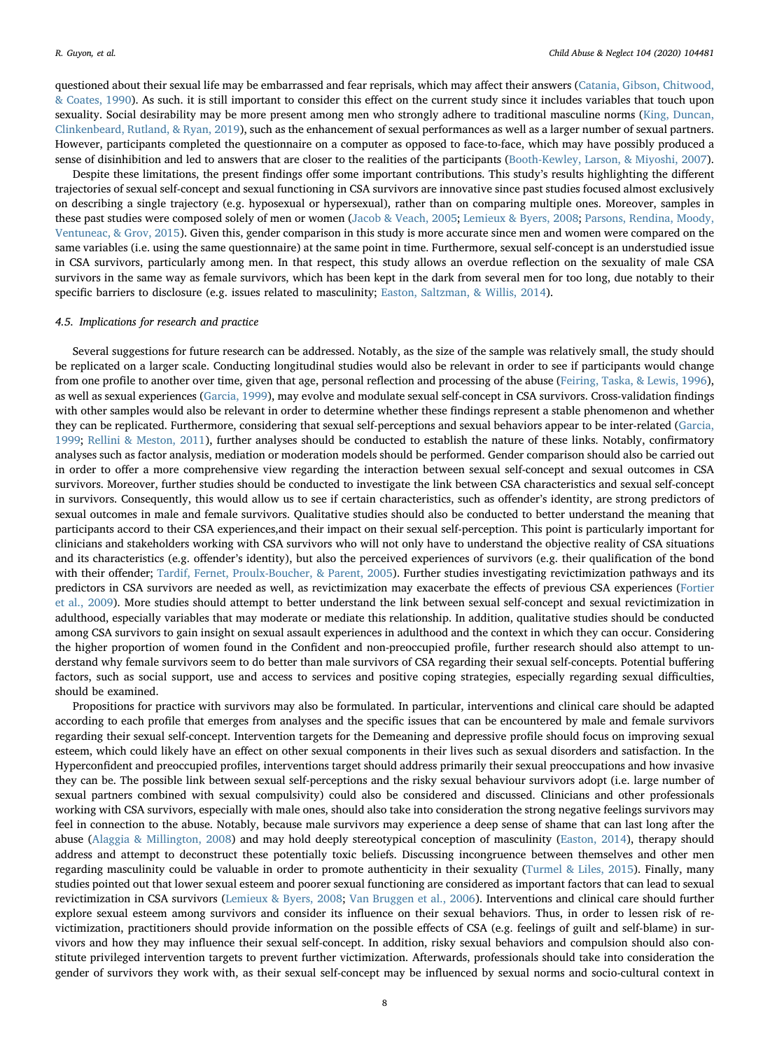questioned about their sexual life may be embarrassed and fear reprisals, which may affect their answers [\(Catania, Gibson, Chitwood,](#page-8-17) [& Coates, 1990\)](#page-8-17). As such. it is still important to consider this effect on the current study since it includes variables that touch upon sexuality. Social desirability may be more present among men who strongly adhere to traditional masculine norms ([King, Duncan,](#page-9-36) [Clinkenbeard, Rutland, & Ryan, 2019\)](#page-9-36), such as the enhancement of sexual performances as well as a larger number of sexual partners. However, participants completed the questionnaire on a computer as opposed to face-to-face, which may have possibly produced a sense of disinhibition and led to answers that are closer to the realities of the participants [\(Booth-Kewley, Larson, & Miyoshi, 2007](#page-8-18)).

Despite these limitations, the present findings offer some important contributions. This study's results highlighting the different trajectories of sexual self-concept and sexual functioning in CSA survivors are innovative since past studies focused almost exclusively on describing a single trajectory (e.g. hyposexual or hypersexual), rather than on comparing multiple ones. Moreover, samples in these past studies were composed solely of men or women [\(Jacob & Veach, 2005](#page-9-37); [Lemieux & Byers, 2008](#page-9-5); [Parsons, Rendina, Moody,](#page-9-38) [Ventuneac, & Grov, 2015](#page-9-38)). Given this, gender comparison in this study is more accurate since men and women were compared on the same variables (i.e. using the same questionnaire) at the same point in time. Furthermore, sexual self-concept is an understudied issue in CSA survivors, particularly among men. In that respect, this study allows an overdue reflection on the sexuality of male CSA survivors in the same way as female survivors, which has been kept in the dark from several men for too long, due notably to their specific barriers to disclosure (e.g. issues related to masculinity; [Easton, Saltzman, & Willis, 2014](#page-8-19)).

### 4.5. Implications for research and practice

Several suggestions for future research can be addressed. Notably, as the size of the sample was relatively small, the study should be replicated on a larger scale. Conducting longitudinal studies would also be relevant in order to see if participants would change from one profile to another over time, given that age, personal reflection and processing of the abuse ([Feiring, Taska, & Lewis, 1996\)](#page-9-39), as well as sexual experiences [\(Garcia, 1999](#page-9-40)), may evolve and modulate sexual self-concept in CSA survivors. Cross-validation findings with other samples would also be relevant in order to determine whether these findings represent a stable phenomenon and whether they can be replicated. Furthermore, considering that sexual self-perceptions and sexual behaviors appear to be inter-related [\(Garcia,](#page-9-40) [1999;](#page-9-40) [Rellini & Meston, 2011](#page-9-4)), further analyses should be conducted to establish the nature of these links. Notably, confirmatory analyses such as factor analysis, mediation or moderation models should be performed. Gender comparison should also be carried out in order to offer a more comprehensive view regarding the interaction between sexual self-concept and sexual outcomes in CSA survivors. Moreover, further studies should be conducted to investigate the link between CSA characteristics and sexual self-concept in survivors. Consequently, this would allow us to see if certain characteristics, such as offender's identity, are strong predictors of sexual outcomes in male and female survivors. Qualitative studies should also be conducted to better understand the meaning that participants accord to their CSA experiences,and their impact on their sexual self-perception. This point is particularly important for clinicians and stakeholders working with CSA survivors who will not only have to understand the objective reality of CSA situations and its characteristics (e.g. offender's identity), but also the perceived experiences of survivors (e.g. their qualification of the bond with their offender; [Tardif, Fernet, Proulx-Boucher, & Parent, 2005\)](#page-10-18). Further studies investigating revictimization pathways and its predictors in CSA survivors are needed as well, as revictimization may exacerbate the effects of previous CSA experiences [\(Fortier](#page-9-30) [et al., 2009](#page-9-30)). More studies should attempt to better understand the link between sexual self-concept and sexual revictimization in adulthood, especially variables that may moderate or mediate this relationship. In addition, qualitative studies should be conducted among CSA survivors to gain insight on sexual assault experiences in adulthood and the context in which they can occur. Considering the higher proportion of women found in the Confident and non-preoccupied profile, further research should also attempt to understand why female survivors seem to do better than male survivors of CSA regarding their sexual self-concepts. Potential buffering factors, such as social support, use and access to services and positive coping strategies, especially regarding sexual difficulties, should be examined.

Propositions for practice with survivors may also be formulated. In particular, interventions and clinical care should be adapted according to each profile that emerges from analyses and the specific issues that can be encountered by male and female survivors regarding their sexual self-concept. Intervention targets for the Demeaning and depressive profile should focus on improving sexual esteem, which could likely have an effect on other sexual components in their lives such as sexual disorders and satisfaction. In the Hyperconfident and preoccupied profiles, interventions target should address primarily their sexual preoccupations and how invasive they can be. The possible link between sexual self-perceptions and the risky sexual behaviour survivors adopt (i.e. large number of sexual partners combined with sexual compulsivity) could also be considered and discussed. Clinicians and other professionals working with CSA survivors, especially with male ones, should also take into consideration the strong negative feelings survivors may feel in connection to the abuse. Notably, because male survivors may experience a deep sense of shame that can last long after the abuse [\(Alaggia & Millington, 2008\)](#page-8-13) and may hold deeply stereotypical conception of masculinity ([Easton, 2014](#page-8-14)), therapy should address and attempt to deconstruct these potentially toxic beliefs. Discussing incongruence between themselves and other men regarding masculinity could be valuable in order to promote authenticity in their sexuality [\(Turmel & Liles, 2015](#page-10-19)). Finally, many studies pointed out that lower sexual esteem and poorer sexual functioning are considered as important factors that can lead to sexual revictimization in CSA survivors ([Lemieux & Byers, 2008](#page-9-5); [Van Bruggen et al., 2006](#page-10-5)). Interventions and clinical care should further explore sexual esteem among survivors and consider its influence on their sexual behaviors. Thus, in order to lessen risk of revictimization, practitioners should provide information on the possible effects of CSA (e.g. feelings of guilt and self-blame) in survivors and how they may influence their sexual self-concept. In addition, risky sexual behaviors and compulsion should also constitute privileged intervention targets to prevent further victimization. Afterwards, professionals should take into consideration the gender of survivors they work with, as their sexual self-concept may be influenced by sexual norms and socio-cultural context in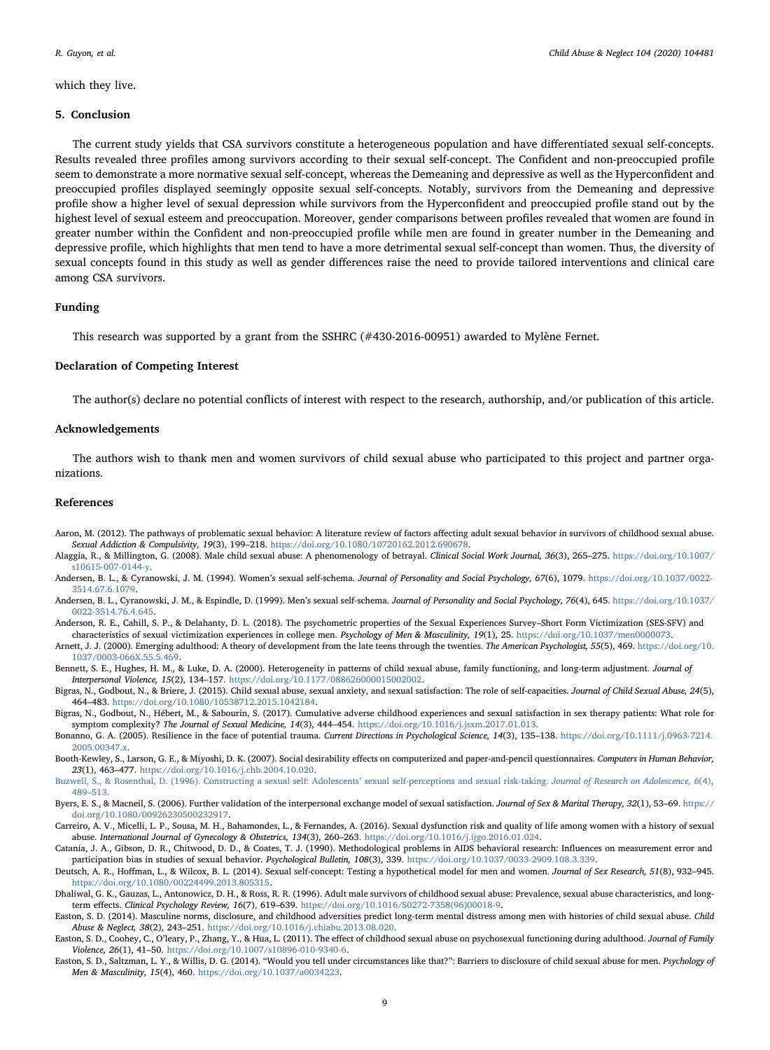which they live.

#### 5. Conclusion

The current study yields that CSA survivors constitute a heterogeneous population and have differentiated sexual self-concepts. Results revealed three profiles among survivors according to their sexual self-concept. The Confident and non-preoccupied profile seem to demonstrate a more normative sexual self-concept, whereas the Demeaning and depressive as well as the Hyperconfident and preoccupied profiles displayed seemingly opposite sexual self-concepts. Notably, survivors from the Demeaning and depressive profile show a higher level of sexual depression while survivors from the Hyperconfident and preoccupied profile stand out by the highest level of sexual esteem and preoccupation. Moreover, gender comparisons between profiles revealed that women are found in greater number within the Confident and non-preoccupied profile while men are found in greater number in the Demeaning and depressive profile, which highlights that men tend to have a more detrimental sexual self-concept than women. Thus, the diversity of sexual concepts found in this study as well as gender differences raise the need to provide tailored interventions and clinical care among CSA survivors.

## Funding

This research was supported by a grant from the SSHRC (#430-2016-00951) awarded to Mylène Fernet.

#### Declaration of Competing Interest

The author(s) declare no potential conflicts of interest with respect to the research, authorship, and/or publication of this article.

#### Acknowledgements

The authors wish to thank men and women survivors of child sexual abuse who participated to this project and partner organizations.

#### References

- <span id="page-8-2"></span>Aaron, M. (2012). The pathways of problematic sexual behavior: A literature review of factors affecting adult sexual behavior in survivors of childhood sexual abuse. Sexual Addiction & Compulsivity, 19(3), 199–218. <https://doi.org/10.1080/10720162.2012.690678>.
- <span id="page-8-13"></span>Alaggia, R., & Millington, G. (2008). Male child sexual abuse: A phenomenology of betrayal. Clinical Social Work Journal, 36(3), 265–275. [https://doi.org/10.1007/](https://doi.org/10.1007/s10615-007-0144-y) [s10615-007-0144-y](https://doi.org/10.1007/s10615-007-0144-y).
- <span id="page-8-5"></span>Andersen, B. L., & Cyranowski, J. M. (1994). Women's sexual self-schema. Journal of Personality and Social Psychology, 67(6), 1079. [https://doi.org/10.1037/0022-](https://doi.org/10.1037/0022-3514.67.6.1079) [3514.67.6.1079.](https://doi.org/10.1037/0022-3514.67.6.1079)
- <span id="page-8-7"></span>Andersen, B. L., Cyranowski, J. M., & Espindle, D. (1999). Men's sexual self-schema. Journal of Personality and Social Psychology, 76(4), 645. [https://doi.org/10.1037/](https://doi.org/10.1037/0022-3514.76.4.645) [0022-3514.76.4.645.](https://doi.org/10.1037/0022-3514.76.4.645)
- <span id="page-8-16"></span>Anderson, R. E., Cahill, S. P., & Delahanty, D. L. (2018). The psychometric properties of the Sexual Experiences Survey–Short Form Victimization (SES-SFV) and characteristics of sexual victimization experiences in college men. Psychology of Men & Masculinity, 19(1), 25. <https://doi.org/10.1037/men0000073>.
- <span id="page-8-4"></span>Arnett, J. J. (2000). Emerging adulthood: A theory of development from the late teens through the twenties. The American Psychologist, 55(5), 469. [https://doi.org/10.](https://doi.org/10.1037/0003-066X.55.5.469) [1037/0003-066X.55.5.469.](https://doi.org/10.1037/0003-066X.55.5.469)
- <span id="page-8-9"></span>Bennett, S. E., Hughes, H. M., & Luke, D. A. (2000). Heterogeneity in patterns of child sexual abuse, family functioning, and long-term adjustment. Journal of Interpersonal Violence, 15(2), 134–157. <https://doi.org/10.1177/088626000015002002>.
- <span id="page-8-11"></span>Bigras, N., Godbout, N., & Briere, J. (2015). Child sexual abuse, sexual anxiety, and sexual satisfaction: The role of self-capacities. Journal of Child Sexual Abuse, 24(5), 464–483. <https://doi.org/10.1080/10538712.2015.1042184>.
- <span id="page-8-0"></span>Bigras, N., Godbout, N., Hébert, M., & Sabourin, S. (2017). Cumulative adverse childhood experiences and sexual satisfaction in sex therapy patients: What role for symptom complexity? The Journal of Sexual Medicine, 14(3), 444-454. <https://doi.org/10.1016/j.jsxm.2017.01.013>.
- <span id="page-8-10"></span>Bonanno, G. A. (2005). Resilience in the face of potential trauma. Current Directions in Psychological Science, 14(3), 135-138. [https://doi.org/10.1111/j.0963-7214.](https://doi.org/10.1111/j.0963-7214.2005.00347.x) [2005.00347.x](https://doi.org/10.1111/j.0963-7214.2005.00347.x).
- <span id="page-8-18"></span>Booth-Kewley, S., Larson, G. E., & Miyoshi, D. K. (2007). Social desirability effects on computerized and paper-and-pencil questionnaires. Computers in Human Behavior, 23(1), 463–477. <https://doi.org/10.1016/j.chb.2004.10.020>.
- <span id="page-8-6"></span>[Buzwell, S., & Rosenthal, D. \(1996\). Constructing a sexual self: Adolescents](http://refhub.elsevier.com/S0145-2134(20)30136-8/sbref0060)' sexual self-perceptions and sexual risk-taking. Journal of Research on Adolescence, 6(4), 489–[513.](http://refhub.elsevier.com/S0145-2134(20)30136-8/sbref0060)
- <span id="page-8-8"></span>Byers, E. S., & Macneil, S. (2006). Further validation of the interpersonal exchange model of sexual satisfaction. Journal of Sex & Marital Therapy, 32(1), 53-69. [https://](https://doi.org/10.1080/00926230500232917) [doi.org/10.1080/00926230500232917.](https://doi.org/10.1080/00926230500232917)
- <span id="page-8-1"></span>Carreiro, A. V., Micelli, L. P., Sousa, M. H., Bahamondes, L., & Fernandes, A. (2016). Sexual dysfunction risk and quality of life among women with a history of sexual abuse. International Journal of Gynecology & Obstetrics, 134(3), 260–263. [https://doi.org/10.1016/j.ijgo.2016.01.024.](https://doi.org/10.1016/j.ijgo.2016.01.024)
- <span id="page-8-17"></span>Catania, J. A., Gibson, D. R., Chitwood, D. D., & Coates, T. J. (1990). Methodological problems in AIDS behavioral research: Influences on measurement error and participation bias in studies of sexual behavior. Psychological Bulletin, 108(3), 339. [https://doi.org/10.1037/0033-2909.108.3.339.](https://doi.org/10.1037/0033-2909.108.3.339)
- <span id="page-8-3"></span>Deutsch, A. R., Hoffman, L., & Wilcox, B. L. (2014). Sexual self-concept: Testing a hypothetical model for men and women. Journal of Sex Research, 51(8), 932-945. [https://doi.org/10.1080/00224499.2013.805315.](https://doi.org/10.1080/00224499.2013.805315)
- <span id="page-8-15"></span>Dhaliwal, G. K., Gauzas, L., Antonowicz, D. H., & Ross, R. R. (1996). Adult male survivors of childhood sexual abuse: Prevalence, sexual abuse characteristics, and longterm effects. Clinical Psychology Review, 16(7), 619–639. [https://doi.org/10.1016/S0272-7358\(96\)00018-9](https://doi.org/10.1016/S0272-7358(96)00018-9).
- <span id="page-8-14"></span>Easton, S. D. (2014). Masculine norms, disclosure, and childhood adversities predict long-term mental distress among men with histories of child sexual abuse. Child Abuse & Neglect, 38(2), 243–251. [https://doi.org/10.1016/j.chiabu.2013.08.020.](https://doi.org/10.1016/j.chiabu.2013.08.020)
- <span id="page-8-12"></span>Easton, S. D., Coohey, C., O'leary, P., Zhang, Y., & Hua, L. (2011). The effect of childhood sexual abuse on psychosexual functioning during adulthood. Journal of Family Violence, 26(1), 41–50. <https://doi.org/10.1007/s10896-010-9340-6>.
- <span id="page-8-19"></span>Easton, S. D., Saltzman, L. Y., & Willis, D. G. (2014). "Would you tell under circumstances like that?": Barriers to disclosure of child sexual abuse for men. Psychology of Men & Masculinity, 15(4), 460. <https://doi.org/10.1037/a0034223>.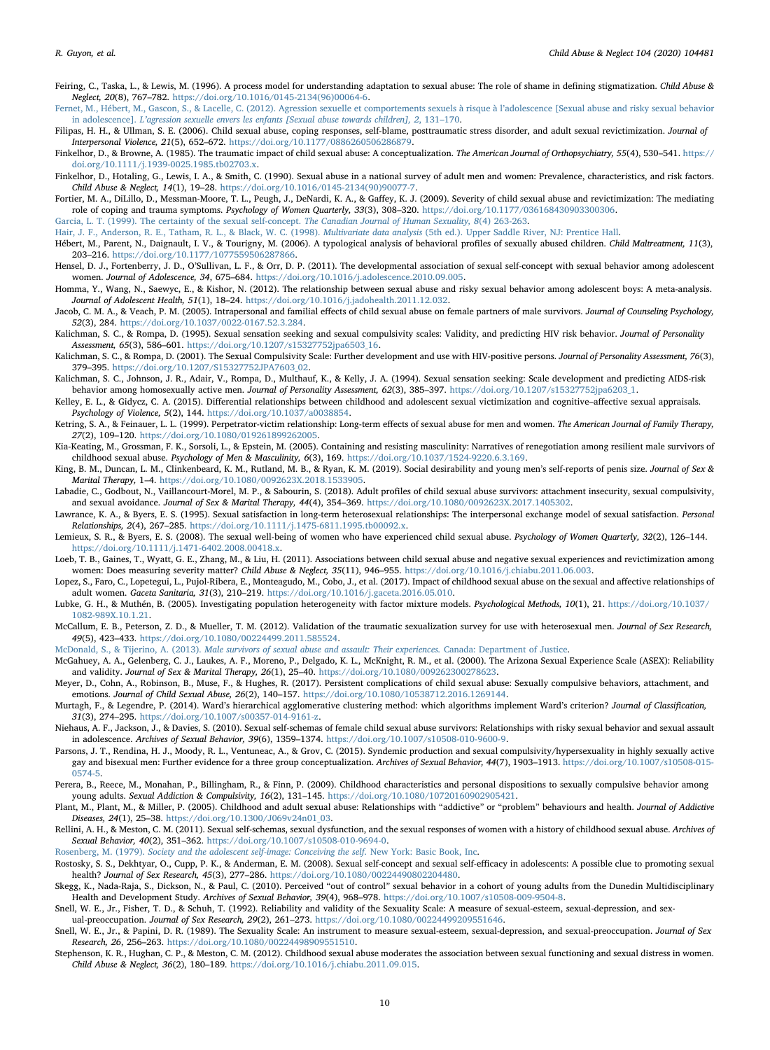- <span id="page-9-39"></span>Feiring, C., Taska, L., & Lewis, M. (1996). A process model for understanding adaptation to sexual abuse: The role of shame in defining stigmatization. Child Abuse & Neglect, 20(8), 767–782. [https://doi.org/10.1016/0145-2134\(96\)00064-6](https://doi.org/10.1016/0145-2134(96)00064-6).
- <span id="page-9-1"></span>[Fernet, M., Hébert, M., Gascon, S., & Lacelle, C. \(2012\). Agression sexuelle et comportements sexuels à risque à l](http://refhub.elsevier.com/S0145-2134(20)30136-8/sbref0110)'adolescence [Sexual abuse and risky sexual behavior in adolescence]. L'[agression sexuelle envers les enfants \[Sexual abuse towards children\], 2](http://refhub.elsevier.com/S0145-2134(20)30136-8/sbref0110), 131–170.
- <span id="page-9-29"></span>Filipas, H. H., & Ullman, S. E. (2006). Child sexual abuse, coping responses, self-blame, posttraumatic stress disorder, and adult sexual revictimization. Journal of Interpersonal Violence, 21(5), 652–672. <https://doi.org/10.1177/0886260506286879>.
- <span id="page-9-26"></span>Finkelhor, D., & Browne, A. (1985). The traumatic impact of child sexual abuse: A conceptualization. The American Journal of Orthopsychiatry, 55(4), 530-541. [https://](https://doi.org/10.1111/j.1939-0025.1985.tb02703.x) [doi.org/10.1111/j.1939-0025.1985.tb02703.x.](https://doi.org/10.1111/j.1939-0025.1985.tb02703.x)
- <span id="page-9-0"></span>Finkelhor, D., Hotaling, G., Lewis, I. A., & Smith, C. (1990). Sexual abuse in a national survey of adult men and women: Prevalence, characteristics, and risk factors. Child Abuse & Neglect, 14(1), 19–28. [https://doi.org/10.1016/0145-2134\(90\)90077-7.](https://doi.org/10.1016/0145-2134(90)90077-7)
- <span id="page-9-30"></span>Fortier, M. A., DiLillo, D., Messman‐Moore, T. L., Peugh, J., DeNardi, K. A., & Gaffey, K. J. (2009). Severity of child sexual abuse and revictimization: The mediating role of coping and trauma symptoms. Psychology of Women Quarterly, 33(3), 308-320. <https://doi.org/10.1177/036168430903300306>.
- <span id="page-9-40"></span>[Garcia, L. T. \(1999\). The certainty of the sexual self-concept.](http://refhub.elsevier.com/S0145-2134(20)30136-8/sbref0135) The Canadian Journal of Human Sexuality, 8(4) 263-263.
- <span id="page-9-25"></span>[Hair, J. F., Anderson, R. E., Tatham, R. L., & Black, W. C. \(1998\).](http://refhub.elsevier.com/S0145-2134(20)30136-8/sbref0140) Multivariate data analysis (5th ed.). Upper Saddle River, NJ: Prentice Hall.
- <span id="page-9-24"></span>Hébert, M., Parent, N., Daignault, I. V., & Tourigny, M. (2006). A typological analysis of behavioral profiles of sexually abused children. Child Maltreatment, 11(3), 203–216. [https://doi.org/10.1177/1077559506287866.](https://doi.org/10.1177/1077559506287866)
- <span id="page-9-10"></span>Hensel, D. J., Fortenberry, J. D., O'Sullivan, L. F., & Orr, D. P. (2011). The developmental association of sexual self-concept with sexual behavior among adolescent women. Journal of Adolescence, 34, 675–684. [https://doi.org/10.1016/j.adolescence.2010.09.005.](https://doi.org/10.1016/j.adolescence.2010.09.005)
- <span id="page-9-2"></span>Homma, Y., Wang, N., Saewyc, E., & Kishor, N. (2012). The relationship between sexual abuse and risky sexual behavior among adolescent boys: A meta-analysis. Journal of Adolescent Health, 51(1), 18–24. [https://doi.org/10.1016/j.jadohealth.2011.12.032.](https://doi.org/10.1016/j.jadohealth.2011.12.032)
- <span id="page-9-37"></span>Jacob, C. M. A., & Veach, P. M. (2005). Intrapersonal and familial effects of child sexual abuse on female partners of male survivors. Journal of Counseling Psychology, 52(3), 284. <https://doi.org/10.1037/0022-0167.52.3.284>.
- <span id="page-9-21"></span>Kalichman, S. C., & Rompa, D. (1995). Sexual sensation seeking and sexual compulsivity scales: Validity, and predicting HIV risk behavior. Journal of Personality Assessment, 65(3), 586–601. [https://doi.org/10.1207/s15327752jpa6503\\_16.](https://doi.org/10.1207/s15327752jpa6503_16)
- <span id="page-9-22"></span>Kalichman, S. C., & Rompa, D. (2001). The Sexual Compulsivity Scale: Further development and use with HIV-positive persons. Journal of Personality Assessment, 76(3), 379–395. [https://doi.org/10.1207/S15327752JPA7603\\_02](https://doi.org/10.1207/S15327752JPA7603_02).
- <span id="page-9-20"></span>Kalichman, S. C., Johnson, J. R., Adair, V., Rompa, D., Multhauf, K., & Kelly, J. A. (1994). Sexual sensation seeking: Scale development and predicting AIDS-risk behavior among homosexually active men. Journal of Personality Assessment, 62(3), 385-397. [https://doi.org/10.1207/s15327752jpa6203\\_1.](https://doi.org/10.1207/s15327752jpa6203_1)
- <span id="page-9-13"></span>Kelley, E. L., & Gidycz, C. A. (2015). Differential relationships between childhood and adolescent sexual victimization and cognitive-affective sexual appraisals. Psychology of Violence, 5(2), 144. [https://doi.org/10.1037/a0038854.](https://doi.org/10.1037/a0038854)
- <span id="page-9-27"></span>Ketring, S. A., & Feinauer, L. L. (1999). Perpetrator-victim relationship: Long-term effects of sexual abuse for men and women. The American Journal of Family Therapy, 27(2), 109–120. [https://doi.org/10.1080/019261899262005.](https://doi.org/10.1080/019261899262005)
- <span id="page-9-34"></span>Kia-Keating, M., Grossman, F. K., Sorsoli, L., & Epstein, M. (2005). Containing and resisting masculinity: Narratives of renegotiation among resilient male survivors of childhood sexual abuse. Psychology of Men & Masculinity, 6(3), 169. [https://doi.org/10.1037/1524-9220.6.3.169.](https://doi.org/10.1037/1524-9220.6.3.169)
- <span id="page-9-36"></span>King, B. M., Duncan, L. M., Clinkenbeard, K. M., Rutland, M. B., & Ryan, K. M. (2019). Social desirability and young men's self-reports of penis size. Journal of Sex & Marital Therapy, 1–4. [https://doi.org/10.1080/0092623X.2018.1533905.](https://doi.org/10.1080/0092623X.2018.1533905)
- <span id="page-9-31"></span>Labadie, C., Godbout, N., Vaillancourt-Morel, M. P., & Sabourin, S. (2018). Adult profiles of child sexual abuse survivors: attachment insecurity, sexual compulsivity, and sexual avoidance. Journal of Sex & Marital Therapy, 44(4), 354–369. [https://doi.org/10.1080/0092623X.2017.1405302.](https://doi.org/10.1080/0092623X.2017.1405302)
- <span id="page-9-18"></span>Lawrance, K. A., & Byers, E. S. (1995). Sexual satisfaction in long-term heterosexual relationships: The interpersonal exchange model of sexual satisfaction. Personal Relationships, 2(4), 267–285. <https://doi.org/10.1111/j.1475-6811.1995.tb00092.x>.
- <span id="page-9-5"></span>Lemieux, S. R., & Byers, E. S. (2008). The sexual well-being of women who have experienced child sexual abuse. Psychology of Women Quarterly, 32(2), 126-144. <https://doi.org/10.1111/j.1471-6402.2008.00418.x>.
- <span id="page-9-6"></span>Loeb, T. B., Gaines, T., Wyatt, G. E., Zhang, M., & Liu, H. (2011). Associations between child sexual abuse and negative sexual experiences and revictimization among women: Does measuring severity matter? Child Abuse & Neglect, 35(11), 946–955. <https://doi.org/10.1016/j.chiabu.2011.06.003>.
- <span id="page-9-3"></span>Lopez, S., Faro, C., Lopetegui, L., Pujol-Ribera, E., Monteagudo, M., Cobo, J., et al. (2017). Impact of childhood sexual abuse on the sexual and affective relationships of adult women. Gaceta Sanitaria, 31(3), 210–219. <https://doi.org/10.1016/j.gaceta.2016.05.010>.
- <span id="page-9-15"></span>Lubke, G. H., & Muthén, B. (2005). Investigating population heterogeneity with factor mixture models. Psychological Methods, 10(1), 21. [https://doi.org/10.1037/](https://doi.org/10.1037/1082-989X.10.1.21) [1082-989X.10.1.21](https://doi.org/10.1037/1082-989X.10.1.21).
- <span id="page-9-9"></span>McCallum, E. B., Peterson, Z. D., & Mueller, T. M. (2012). Validation of the traumatic sexualization survey for use with heterosexual men. Journal of Sex Research, 49(5), 423–433. [https://doi.org/10.1080/00224499.2011.585524.](https://doi.org/10.1080/00224499.2011.585524)
- <span id="page-9-35"></span>McDonald, S., & Tijerino, A. (2013). [Male survivors of sexual abuse and assault: Their experiences.](http://refhub.elsevier.com/S0145-2134(20)30136-8/sbref0235) Canada: Department of Justice.
- <span id="page-9-19"></span>McGahuey, A. A., Gelenberg, C. J., Laukes, A. F., Moreno, P., Delgado, K. L., McKnight, R. M., et al. (2000). The Arizona Sexual Experience Scale (ASEX): Reliability and validity. Journal of Sex & Marital Therapy, 26(1), 25–40. <https://doi.org/10.1080/009262300278623>.
- <span id="page-9-33"></span>Meyer, D., Cohn, A., Robinson, B., Muse, F., & Hughes, R. (2017). Persistent complications of child sexual abuse: Sexually compulsive behaviors, attachment, and emotions. Journal of Child Sexual Abuse, 26(2), 140–157. <https://doi.org/10.1080/10538712.2016.1269144>.
- <span id="page-9-23"></span>Murtagh, F., & Legendre, P. (2014). Ward's hierarchical agglomerative clustering method: which algorithms implement Ward's criterion? Journal of Classification, 31(3), 274–295. <https://doi.org/10.1007/s00357-014-9161-z>.
- <span id="page-9-14"></span>Niehaus, A. F., Jackson, J., & Davies, S. (2010). Sexual self-schemas of female child sexual abuse survivors: Relationships with risky sexual behavior and sexual assault in adolescence. Archives of Sexual Behavior, 39(6), 1359–1374. <https://doi.org/10.1007/s10508-010-9600-9>.
- <span id="page-9-38"></span>Parsons, J. T., Rendina, H. J., Moody, R. L., Ventuneac, A., & Grov, C. (2015). Syndemic production and sexual compulsivity/hypersexuality in highly sexually active gay and bisexual men: Further evidence for a three group conceptualization. Archives of Sexual Behavior, 44(7), 1903-1913. [https://doi.org/10.1007/s10508-015-](https://doi.org/10.1007/s10508-015-0574-5) [0574-5.](https://doi.org/10.1007/s10508-015-0574-5)
- <span id="page-9-32"></span>Perera, B., Reece, M., Monahan, P., Billingham, R., & Finn, P. (2009). Childhood characteristics and personal dispositions to sexually compulsive behavior among young adults. Sexual Addiction & Compulsivity, 16(2), 131-145. [https://doi.org/10.1080/10720160902905421.](https://doi.org/10.1080/10720160902905421)
- <span id="page-9-8"></span>Plant, M., Plant, M., & Miller, P. (2005). Childhood and adult sexual abuse: Relationships with "addictive" or "problem" behaviours and health. Journal of Addictive Diseases, 24(1), 25–38. [https://doi.org/10.1300/J069v24n01\\_03.](https://doi.org/10.1300/J069v24n01_03)
- <span id="page-9-4"></span>Rellini, A. H., & Meston, C. M. (2011). Sexual self-schemas, sexual dysfunction, and the sexual responses of women with a history of childhood sexual abuse. Archives of Sexual Behavior, 40(2), 351–362. <https://doi.org/10.1007/s10508-010-9694-0>.
- <span id="page-9-12"></span>Rosenberg, M. (1979). [Society and the adolescent self-image: Conceiving the self.](http://refhub.elsevier.com/S0145-2134(20)30136-8/sbref0280) New York: Basic Book, Inc.
- <span id="page-9-11"></span>Rostosky, S. S., Dekhtyar, O., Cupp, P. K., & Anderman, E. M. (2008). Sexual self-concept and sexual self-efficacy in adolescents: A possible clue to promoting sexual health? Journal of Sex Research, 45(3), 277–286. [https://doi.org/10.1080/00224490802204480.](https://doi.org/10.1080/00224490802204480)
- <span id="page-9-7"></span>Skegg, K., Nada-Raja, S., Dickson, N., & Paul, C. (2010). Perceived "out of control" sexual behavior in a cohort of young adults from the Dunedin Multidisciplinary Health and Development Study. Archives of Sexual Behavior, 39(4), 968–978. [https://doi.org/10.1007/s10508-009-9504-8.](https://doi.org/10.1007/s10508-009-9504-8)
- <span id="page-9-17"></span>Snell, W. E., Jr., Fisher, T. D., & Schuh, T. (1992). Reliability and validity of the Sexuality Scale: A measure of sexual-esteem, sexual-depression, and sex-
- ual-preoccupation. Journal of Sex Research, 29(2), 261-273. [https://doi.org/10.1080/00224499209551646.](https://doi.org/10.1080/00224499209551646)
- <span id="page-9-16"></span>Snell, W. E., Jr., & Papini, D. R. (1989). The Sexuality Scale: An instrument to measure sexual-esteem, sexual-depression, and sexual-preoccupation. Journal of Sex Research, 26, 256–263. <https://doi.org/10.1080/00224498909551510>.
- <span id="page-9-28"></span>Stephenson, K. R., Hughan, C. P., & Meston, C. M. (2012). Childhood sexual abuse moderates the association between sexual functioning and sexual distress in women. Child Abuse & Neglect, 36(2), 180–189. <https://doi.org/10.1016/j.chiabu.2011.09.015>.